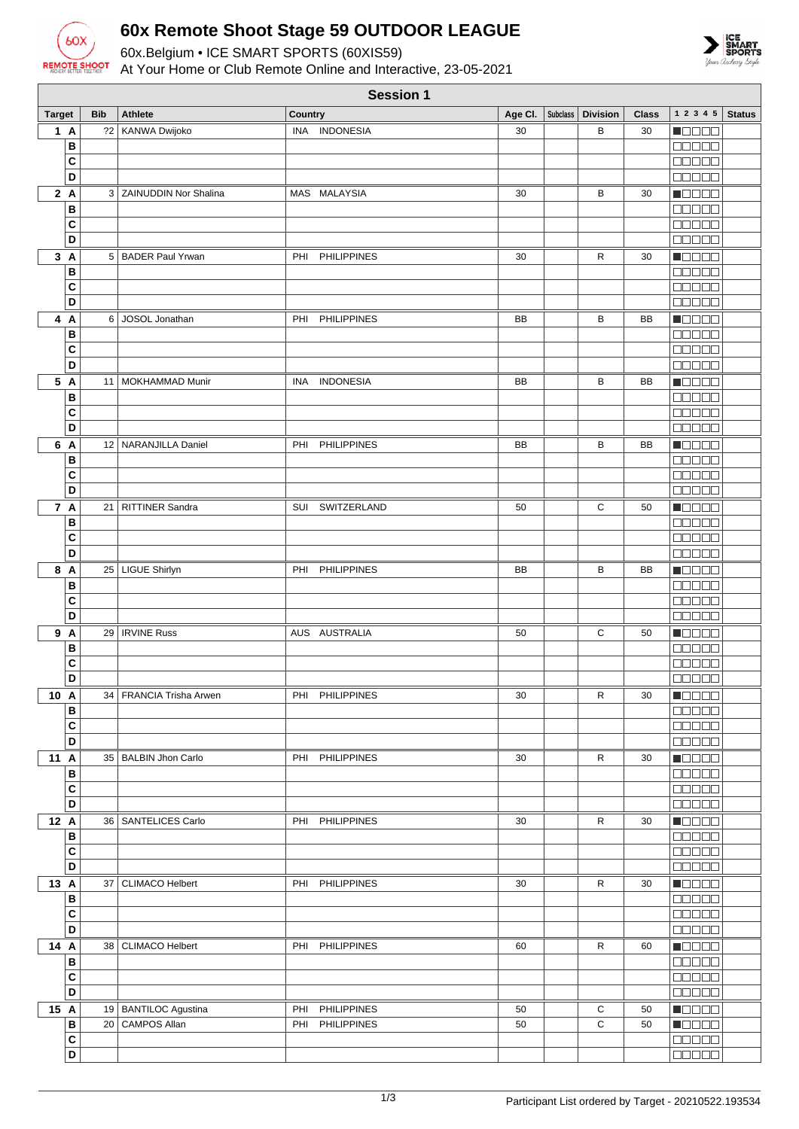

## **60x Remote Shoot Stage 59 OUTDOOR LEAGUE**

60x.Belgium • ICE SMART SPORTS (60XIS59) At Your Home or Club Remote Online and Interactive, 23-05-2021



|               | <b>Session 1</b>        |            |                           |                           |           |          |                 |              |                                                       |               |
|---------------|-------------------------|------------|---------------------------|---------------------------|-----------|----------|-----------------|--------------|-------------------------------------------------------|---------------|
| <b>Target</b> |                         | <b>Bib</b> | <b>Athlete</b>            | Country                   | Age CI.   | Subclass | <b>Division</b> | <b>Class</b> | 12345                                                 | <b>Status</b> |
|               | 1A                      | 22         | KANWA Dwijoko             | INA INDONESIA             | 30        |          | В               | 30           | Maaaa                                                 |               |
|               | В                       |            |                           |                           |           |          |                 |              | 88888                                                 |               |
|               | C                       |            |                           |                           |           |          |                 |              | <b>BOOOO</b>                                          |               |
|               | D                       |            |                           |                           |           |          |                 |              | <b>BOBBB</b>                                          |               |
|               | 2A                      |            | 3   ZAINUDDIN Nor Shalina | MAS MALAYSIA              | 30        |          | В               | 30           | $\blacksquare$                                        |               |
|               | B                       |            |                           |                           |           |          |                 |              | <b>OOOOO</b>                                          |               |
|               | C                       |            |                           |                           |           |          |                 |              | 88888                                                 |               |
|               | D                       |            |                           |                           |           |          |                 |              | Maaa a                                                |               |
|               | 3A                      |            | 5   BADER Paul Yrwan      | <b>PHILIPPINES</b><br>PHI | 30        |          | R               | 30           | n Beec                                                |               |
|               | B                       |            |                           |                           |           |          |                 |              | Maaa a                                                |               |
|               | C                       |            |                           |                           |           |          |                 |              | an a s                                                |               |
|               | D                       |            |                           |                           |           |          |                 |              | Maaan                                                 |               |
|               | 4 A                     |            | 6 JOSOL Jonathan          | <b>PHILIPPINES</b><br>PHI | BB        |          | В               | BB           | Maaaa                                                 |               |
|               | B                       |            |                           |                           |           |          |                 |              | Ma Sa S                                               |               |
|               | C<br>D                  |            |                           |                           |           |          |                 |              | 88888<br>anaan                                        |               |
|               | 5 A                     |            |                           |                           | <b>BB</b> |          |                 | <b>BB</b>    |                                                       |               |
|               | B                       | 11         | <b>MOKHAMMAD Munir</b>    | <b>INDONESIA</b><br>INA   |           |          | В               |              | <u> de se</u><br><b>REBEE</b>                         |               |
|               | C                       |            |                           |                           |           |          |                 |              | an na n                                               |               |
|               | D                       |            |                           |                           |           |          |                 |              | 88888                                                 |               |
|               | 6 A                     |            | 12   NARANJILLA Daniel    | <b>PHILIPPINES</b><br>PHI | BB        |          | В               | BB           | n da da                                               |               |
|               | В                       |            |                           |                           |           |          |                 |              | 88888                                                 |               |
|               | C                       |            |                           |                           |           |          |                 |              | 88888                                                 |               |
|               | D                       |            |                           |                           |           |          |                 |              | 88888                                                 |               |
|               | 7 A                     |            | 21   RITTINER Sandra      | SUI SWITZERLAND           | 50        |          | С               | 50           | <b>Nacional</b>                                       |               |
|               | B                       |            |                           |                           |           |          |                 |              | 88888                                                 |               |
|               | C                       |            |                           |                           |           |          |                 |              | 00000                                                 |               |
|               | D                       |            |                           |                           |           |          |                 |              | MUNU U                                                |               |
|               | 8 A                     |            | 25   LIGUE Shirlyn        | <b>PHILIPPINES</b><br>PHI | BB        |          | В               | BB           | n de e e                                              |               |
|               | B                       |            |                           |                           |           |          |                 |              | anaa                                                  |               |
|               | C                       |            |                           |                           |           |          |                 |              | 88888                                                 |               |
|               | D                       |            |                           |                           |           |          |                 |              | an a sh                                               |               |
|               | 9 A                     |            | 29   IRVINE Russ          | AUS AUSTRALIA             | 50        |          | С               | 50           | N E E E E                                             |               |
|               | B                       |            |                           |                           |           |          |                 |              | Maaan                                                 |               |
|               | C<br>D                  |            |                           |                           |           |          |                 |              | 88888<br>00000                                        |               |
|               |                         |            | 34 FRANCIA Trisha Arwen   | PHI PHILIPPINES           | 30        |          | R               | 30           |                                                       |               |
| 10 A          | В                       |            |                           |                           |           |          |                 |              | $\blacksquare$ $\square$ $\square$ $\square$<br>88888 |               |
|               | C                       |            |                           |                           |           |          |                 |              | 88888                                                 |               |
|               | D                       |            |                           |                           |           |          |                 |              | 88888                                                 |               |
| 11 A          |                         |            | 35   BALBIN Jhon Carlo    | PHI PHILIPPINES           | 30        |          | ${\sf R}$       | 30           | <b>Nacional</b>                                       |               |
|               | B                       |            |                           |                           |           |          |                 |              | 00000                                                 |               |
|               | C                       |            |                           |                           |           |          |                 |              | 88888                                                 |               |
|               | D                       |            |                           |                           |           |          |                 |              | 88888                                                 |               |
| 12 A          |                         |            | 36   SANTELICES Carlo     | PHI PHILIPPINES           | 30        |          | R               | 30           | $\blacksquare$ $\square$ $\square$ $\square$          |               |
|               | B                       |            |                           |                           |           |          |                 |              | 00000                                                 |               |
|               | C                       |            |                           |                           |           |          |                 |              | 00000                                                 |               |
|               | $\overline{\mathsf{D}}$ |            |                           |                           |           |          |                 |              | 00000                                                 |               |
| 13 A          |                         | 37         | CLIMACO Helbert           | PHI PHILIPPINES           | 30        |          | ${\sf R}$       | 30           | $\blacksquare$ $\square$ $\square$ $\square$          |               |
|               | B                       |            |                           |                           |           |          |                 |              | 00000                                                 |               |
|               | $\overline{\mathbf{c}}$ |            |                           |                           |           |          |                 |              | 88888                                                 |               |
|               | D                       |            |                           |                           |           |          |                 |              | 00000                                                 |               |
| 14 A          | $\, {\bf B}$            |            | 38   CLIMACO Helbert      | PHI<br><b>PHILIPPINES</b> | 60        |          | $\mathsf{R}$    | 60           | <b>Receive</b><br>00000                               |               |
|               | C                       |            |                           |                           |           |          |                 |              | 88888                                                 |               |
|               | D                       |            |                           |                           |           |          |                 |              | 00000                                                 |               |
| 15 A          |                         |            | 19   BANTILOC Agustina    | PHI PHILIPPINES           | 50        |          | С               | 50           | <b>Macao</b>                                          |               |
|               | B                       |            | 20 CAMPOS Allan           | <b>PHILIPPINES</b><br>PHI | 50        |          | $\mathbf C$     | 50           | $\blacksquare$                                        |               |
|               | $\mathbf{C}$            |            |                           |                           |           |          |                 |              | 88888                                                 |               |
|               | $\overline{D}$          |            |                           |                           |           |          |                 |              | 88888                                                 |               |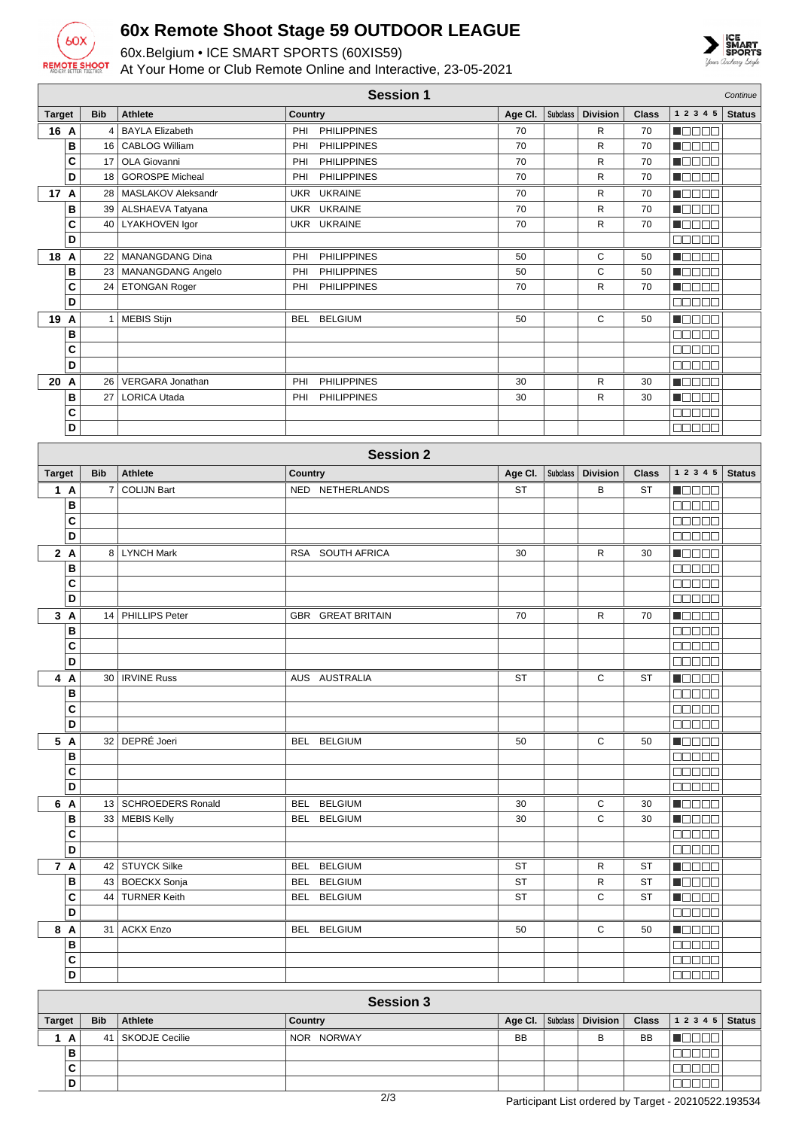

**B C D**

## **60x Remote Shoot Stage 59 OUTDOOR LEAGUE**

60x.Belgium • ICE SMART SPORTS (60XIS59)



At Your Home or Club Remote Online and Interactive, 23-05-2021

| <b>Session 1</b><br>Continue |            |                                        |                                                |           |                 |                   |              |                                              |               |
|------------------------------|------------|----------------------------------------|------------------------------------------------|-----------|-----------------|-------------------|--------------|----------------------------------------------|---------------|
| <b>Target</b>                | <b>Bib</b> | <b>Athlete</b>                         | Country                                        | Age Cl.   | Subclass        | <b>Division</b>   | <b>Class</b> | 1 2 3 4 5                                    | <b>Status</b> |
| 16 A                         |            | 4 BAYLA Elizabeth                      | <b>PHILIPPINES</b><br>PHI                      | 70        |                 | R                 | 70           | <b>MODER</b>                                 |               |
| В                            | 16         | <b>CABLOG William</b>                  | <b>PHILIPPINES</b><br>PHI                      | 70        |                 | R                 | 70           | MODE 8                                       |               |
| C                            | 17         | OLA Giovanni                           | PHI<br><b>PHILIPPINES</b>                      | 70        |                 | $\mathsf{R}$      | 70           | Maaaa                                        |               |
| D                            | 18         | <b>GOROSPE Micheal</b>                 | PHI<br><b>PHILIPPINES</b>                      | 70        |                 | R                 | 70           | N E E E E                                    |               |
| 17 A<br>B                    | 28<br>39   | MASLAKOV Aleksandr<br>ALSHAEVA Tatyana | <b>UKRAINE</b><br>UKR<br>UKR<br><b>UKRAINE</b> | 70<br>70  |                 | R<br>$\mathsf{R}$ | 70<br>70     | n Els Els<br>N BE E E                        |               |
| C                            | 40         | LYAKHOVEN Igor                         | UKR UKRAINE                                    | 70        |                 | $\mathsf{R}$      | 70           | Maca Biz                                     |               |
| D                            |            |                                        |                                                |           |                 |                   |              | 88888                                        |               |
| 18 A                         | 22         | MANANGDANG Dina                        | <b>PHILIPPINES</b><br>PHI                      | 50        |                 | С                 | 50           | $\blacksquare$ $\square$ $\square$ $\square$ |               |
| B                            | 23         | MANANGDANG Angelo                      | <b>PHILIPPINES</b><br>PHI                      | 50        |                 | C                 | 50           | Maaaa                                        |               |
| C                            | 24         | ETONGAN Roger                          | PHI<br><b>PHILIPPINES</b>                      | 70        |                 | R                 | 70           | <b>NGCOO</b>                                 |               |
| D                            |            |                                        |                                                |           |                 |                   |              | anaa a                                       |               |
| 19 A                         |            | 1   MEBIS Stijn                        | <b>BELGIUM</b><br>BEL                          | 50        |                 | С                 | 50           | N OO O O                                     |               |
| B                            |            |                                        |                                                |           |                 |                   |              | Maaaa<br>88888                               |               |
| C<br>D                       |            |                                        |                                                |           |                 |                   |              | 88888                                        |               |
| 20 A                         | 26         | VERGARA Jonathan                       | <b>PHILIPPINES</b><br>PHI                      | 30        |                 | $\mathsf{R}$      | 30           | n de de                                      |               |
| B                            | 27         | <b>LORICA Utada</b>                    | <b>PHILIPPINES</b><br>PHI                      | 30        |                 | $\mathsf{R}$      | 30           | Maaaa                                        |               |
| C                            |            |                                        |                                                |           |                 |                   |              | <b>BBBBB</b>                                 |               |
| D                            |            |                                        |                                                |           |                 |                   |              | 88888                                        |               |
|                              |            |                                        | <b>Session 2</b>                               |           |                 |                   |              |                                              |               |
|                              |            |                                        |                                                |           |                 |                   |              |                                              |               |
| <b>Target</b>                | <b>Bib</b> | <b>Athlete</b>                         | Country                                        | Age Cl.   | <b>Subclass</b> | <b>Division</b>   | <b>Class</b> | 1 2 3 4 5                                    | <b>Status</b> |
| 1 A<br>B                     | 7          | <b>COLIJN Bart</b>                     | NED NETHERLANDS                                | <b>ST</b> |                 | В                 | <b>ST</b>    | HOOOO<br><b>NODOO</b>                        |               |
| C                            |            |                                        |                                                |           |                 |                   |              | an an S                                      |               |
| D                            |            |                                        |                                                |           |                 |                   |              | <b>REBEE</b>                                 |               |
| 2A                           |            | 8   LYNCH Mark                         | RSA SOUTH AFRICA                               | 30        |                 | $\mathsf{R}$      | 30           | MONDO                                        |               |
| B                            |            |                                        |                                                |           |                 |                   |              | <b>BBBBB</b>                                 |               |
| C                            |            |                                        |                                                |           |                 |                   |              | <b>NNO DE</b>                                |               |
| D                            |            |                                        |                                                |           |                 |                   |              | 88888                                        |               |
| 3A                           | 14         | PHILLIPS Peter                         | <b>GBR GREAT BRITAIN</b>                       | 70        |                 | R                 | 70           | Maaaa                                        |               |
| В<br>C                       |            |                                        |                                                |           |                 |                   |              | <u>maaaa</u><br>manaa                        |               |
| D                            |            |                                        |                                                |           |                 |                   |              | 88888                                        |               |
| 4A                           |            | 30   IRVINE Russ                       | AUS AUSTRALIA                                  | ST        |                 | C                 | ST           | <b>MARTA</b>                                 |               |
| В                            |            |                                        |                                                |           |                 |                   |              | <b>00000</b>                                 |               |
| C                            |            |                                        |                                                |           |                 |                   |              | 88888                                        |               |
| D                            |            |                                        |                                                |           |                 |                   |              | <b>REBEL</b>                                 |               |
| 5 A                          |            | 32 DEPRÉ Joeri                         | BEL BELGIUM                                    | 50        |                 | C                 | 50           | <b>Macao</b>                                 |               |
| B                            |            |                                        |                                                |           |                 |                   |              | 00000                                        |               |
| $\mathbf{C}$<br>D            |            |                                        |                                                |           |                 |                   |              | 00000<br>88888                               |               |
| 6 A                          |            | 13   SCHROEDERS Ronald                 | BEL BELGIUM                                    | 30        |                 | С                 | 30           | <b>H</b> oooo                                |               |
| В                            |            | 33   MEBIS Kelly                       | BEL BELGIUM                                    | 30        |                 | C                 | 30           | $\blacksquare$ $\square$ $\square$ $\square$ |               |
| C                            |            |                                        |                                                |           |                 |                   |              | 88888                                        |               |
| D                            |            |                                        |                                                |           |                 |                   |              | 88888                                        |               |
| 7 A                          |            | 42 STUYCK Silke                        | BEL BELGIUM                                    | ST        |                 | R                 | ST           | <b>H</b> OOOO                                |               |
| B                            |            | 43   BOECKX Sonja                      | BEL BELGIUM                                    | <b>ST</b> |                 | R                 | <b>ST</b>    | <b>N</b> ODOO                                |               |
| C                            |            | 44   TURNER Keith                      | BEL BELGIUM                                    | <b>ST</b> |                 | C                 | <b>ST</b>    | $\blacksquare$                               |               |
| D                            |            |                                        |                                                |           |                 |                   |              | 00000                                        |               |
| 8 A                          |            | 31 ACKX Enzo                           | BEL BELGIUM                                    | 50        |                 | C                 | 50           | <b>H</b> OOOO<br>00000                       |               |
| В<br>$\mathbf{C}$            |            |                                        |                                                |           |                 |                   |              | 88888                                        |               |
| D                            |            |                                        |                                                |           |                 |                   |              | <b>MANO D</b>                                |               |
|                              |            |                                        |                                                |           |                 |                   |              |                                              |               |
| <b>Session 3</b>             |            |                                        |                                                |           |                 |                   |              |                                              |               |
| <b>Target</b>                | <b>Bib</b> | Athlete                                | Country                                        | Age Cl.   | Subclass        | <b>Division</b>   | <b>Class</b> | $1\ 2\ 3\ 4\ 5$                              | <b>Status</b> |
| 1A                           |            | 41   SKODJE Cecilie                    | NOR NORWAY                                     | <b>BB</b> |                 | B                 | BB           | N E E E E                                    |               |

 $00000$ **ooooo** |aaaaa